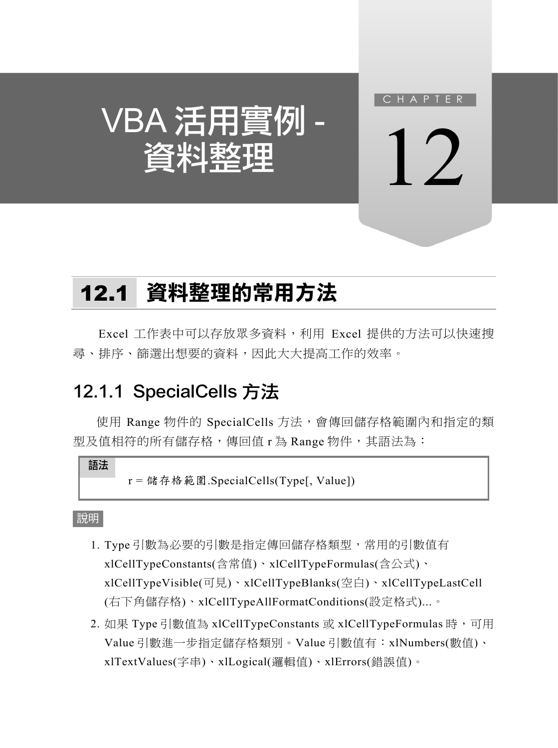

 $\vert$  )

VBA 活用實例 資料整理

# 12.1 資料整理的常用方法

Excel 工作表中可以存放眾多資料,利用 Excel 提供的方法可以快速搜 尋、排序、篩選出想要的資料,因此大大提高工作的效率。

## 12.1.1 SpecialCells 方法

使用 Range 物件的 SpecialCells 方法,會傳回儲存格範圍內和指定的類 型及值相符的所有儲存格,傳回值 r 為 Range 物件,其語法為:

語法

r = 儲存格範圍.SpecialCells(Type[, Value])

- 1. Type 引數為必要的引數是指定傳回儲存格類型,常用的引數值有 xlCellTypeConstants(含常值)、xlCellTypeFormulas(含公式)、 xlCellTypeVisible(可見)、xlCellTypeBlanks(空白)、xlCellTypeLastCell (右下角儲存格)、xlCellTypeAllFormatConditions(設定格式)...。
- 2. 如果 Type 引數值為 xlCellTypeConstants 或 xlCellTypeFormulas 時, 可用 Value 引數進一步指定儲存格類別。Value 引數值有:xlNumbers(數值)、 xlTextValues(字串)、xlLogical(邏輯值)、xlErrors(錯誤值)。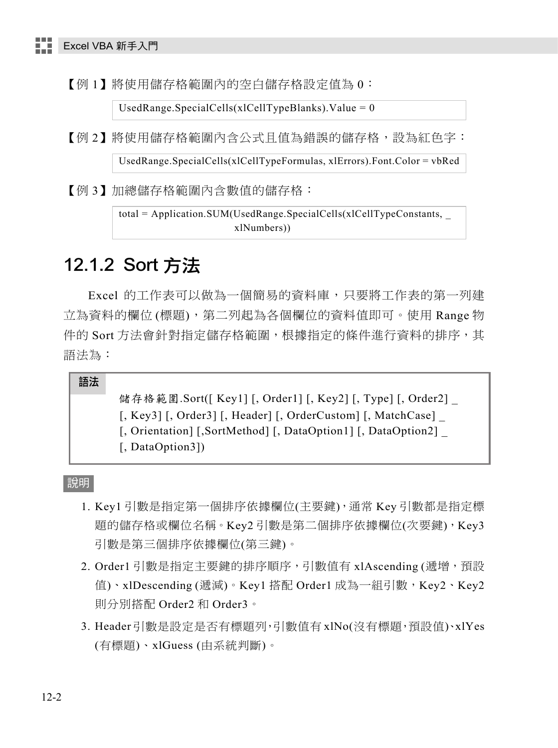【例 1】將使用儲存格範圍內的空白儲存格設定值為 0:

UsedRange.SpecialCells(xlCellTypeBlanks).Value =  $0$ 

【例 2】將使用儲存格範圍內含公式且值為錯誤的儲存格,設為紅色字:

UsedRange.SpecialCells(xlCellTypeFormulas, xlErrors).Font.Color = vbRed

【例 3】加總儲存格範圍內含數值的儲存格:

total = Application.SUM(UsedRange.SpecialCells(xlCellTypeConstants, \_ xlNumbers))

## 12.1.2 Sort 方法

Excel 的工作表可以做為一個簡易的資料庫,只要將工作表的第一列建 立為資料的欄位(標題),第二列起為各個欄位的資料值即可。使用 Range 物 件的 Sort 方法會針對指定儲存格範圍,根據指定的條件進行資料的排序,其 語法為:

語法

儲存格範圍.Sort([ Key1] [, Order1] [, Key2] [, Type] [, Order2] [, Key3] [, Order3] [, Header] [, OrderCustom] [, MatchCase] \_ [, Orientation] [,SortMethod] [, DataOption1] [, DataOption2] \_ [, DataOption3])

- 1. Key1 引數是指定第一個排序依據欄位(主要鍵),通常 Key 引數都是指定標 題的儲存格或欄位名稱。Key2 引數是第二個排序依據欄位(次要鍵), Key3 引數是第三個排序依據欄位(第三鍵)。
- 2. Order1 引數是指定主要鍵的排序順序,引數值有 xlAscending (遞增,預設 值)、xlDescending (遞減)。Key1 搭配 Order1 成為一組引數,Key2、Key2 則分別搭配 Order2 和 Order3。
- 3. Header 引數是設定是否有標題列,引數值有 xlNo(沒有標題,預設值)、xlYes (有標題)、xlGuess (由系統判斷)。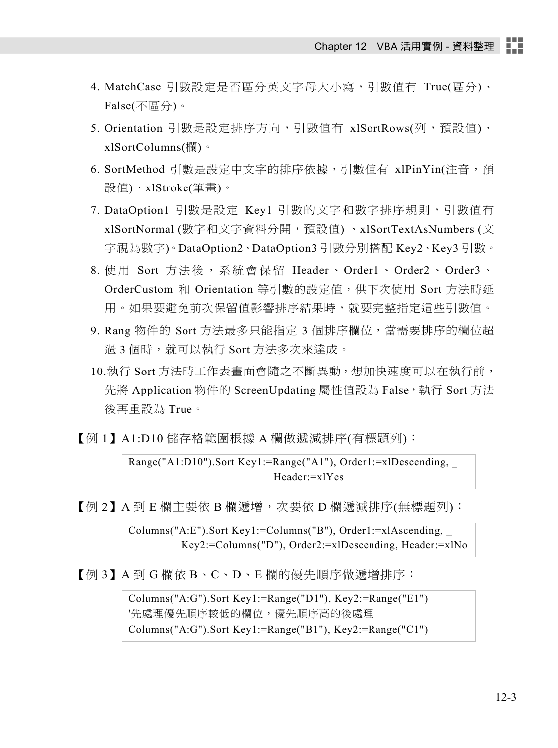- 4. MatchCase 引數設定是否區分英文字母大小寫,引數值有 True(區分)、 False(不區分)。
- 5. Orientation 引數是設定排序方向,引數值有 xlSortRows(列,預設值)、 xlSortColumns(欄)。
- 6. SortMethod 引數是設定中文字的排序依據,引數值有 xlPinYin(注音,預 設值)、xlStroke(筆畫)。
- 7. DataOption1 引數是設定 Key1 引數的文字和數字排序規則,引數值有 xlSortNormal (數字和文字資料分開,預設值) 、xlSortTextAsNumbers (文 字視為數字)。DataOption2、DataOption3 引數分別搭配 Key2、Key3 引數。
- 8. 使用 Sort 方法後,系統會保留 Header、Order1、Order2、Order3、 OrderCustom 和 Orientation 等引數的設定值,供下次使用 Sort 方法時延 用。如果要避免前次保留值影響排序結果時,就要完整指定這些引數值。
- 9. Rang 物件的 Sort 方法最多只能指定 3 個排序欄位, 當需要排序的欄位超 過 3 個時,就可以執行 Sort 方法多次來達成。
- 10.執行 Sort 方法時工作表畫面會隨之不斷異動,想加快速度可以在執行前, 先將 Application 物件的 ScreenUpdating 屬性值設為 False, 執行 Sort 方法 後再重設為 True。
- 【例 1】A1:D10 儲存格範圍根據 A 欄做遞減排序(有標題列):

Range("A1:D10").Sort Key1:=Range("A1"), Order1:=xlDescending, \_ Header:=xlYes

【例 2】A 到 E 欄主要依 B 欄遞增,次要依 D 欄遞減排序(無標題列):

Columns("A:E").Sort Key1:=Columns("B"), Order1:=xlAscending, \_ Key2:=Columns("D"), Order2:=xlDescending, Header:=xlNo

【例 3】A 到 G 欄依 B、C、D、E 欄的優先順序做遞增排序:

Columns("A:G").Sort Key1:=Range("D1"), Key2:=Range("E1") '先處理優先順序較低的欄位,優先順序高的後處理 Columns("A:G").Sort Key1:=Range("B1"), Key2:=Range("C1")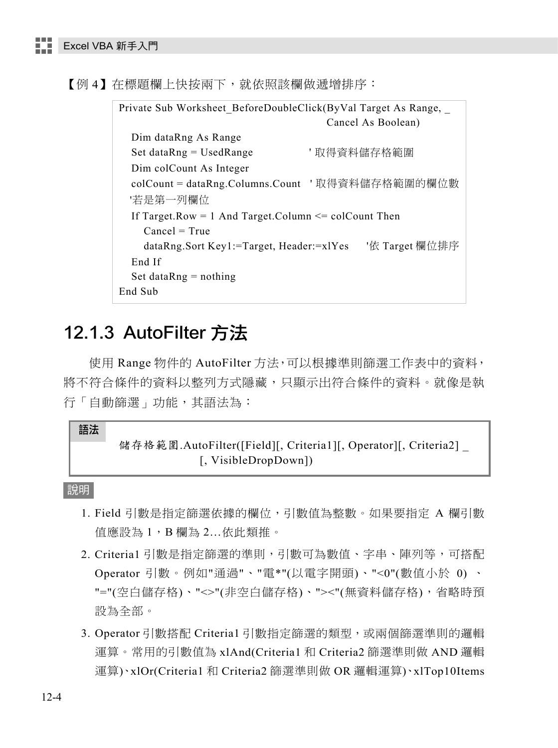【例 4】在標題欄上快按兩下,就依照該欄做遞增排序:

Private Sub Worksheet BeforeDoubleClick(ByVal Target As Range, Cancel As Boolean) Dim dataRng As Range Set dataRng = UsedRange ' 取得資料儲存格範圍 Dim colCount As Integer colCount = dataRng.Columns.Count ' 取得資料儲存格範圍的欄位數 '若是第一列欄位 If Target.Row = 1 And Target.Column <= colCount Then Cancel = True dataRng.Sort Key1:=Target, Header:=xlYes '依 Target 欄位排序 End If Set data $Rng = nothing$ End Sub

## 12.1.3 AutoFilter 方法

使用 Range 物件的 AutoFilter 方法,可以根據準則篩選工作表中的資料, 將不符合條件的資料以整列方式隱藏,只顯示出符合條件的資料。就像是執 行「自動篩選」功能,其語法為:

#### 語法

### 儲存格範圍.AutoFilter([Field][, Criteria1][, Operator][, Criteria2] [, VisibleDropDown])

- 1. Field 引數是指定篩選依據的欄位,引數值為整數。如果要指定 A 欄引數 值應設為 1,B 欄為 2…依此類推。
- 2. Criteria1 引數是指定篩選的準則,引數可為數值、字串、陣列等,可搭配 Operator 引數。例如"通過"、"電\*"(以電字開頭)、"<0"(數值小於 0) 、 "="(空白儲存格)、"<>"(非空白儲存格)、"><"(無資料儲存格),省略時預 設為全部。
- 3. Operator 引數搭配 Criteria1 引數指定篩選的類型,或兩個篩選準則的邏輯 運算。常用的引數值為 xlAnd(Criteria1 和 Criteria2 篩選準則做 AND 邏輯 運算)、xlOr(Criteria1 和 Criteria2 篩選準則做 OR 邏輯運算)、xlTop10Items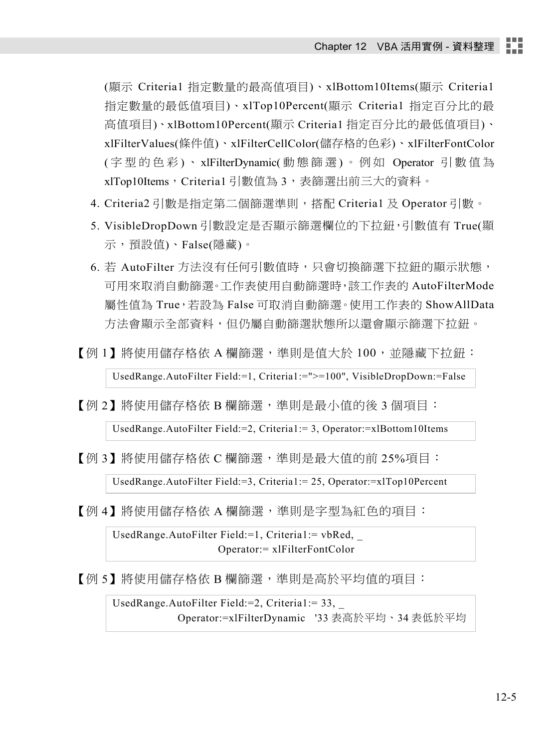(顯示 Criteria1 指定數量的最高值項目)、xlBottom10Items(顯示 Criteria1 指定數量的最低值項目)、xlTop10Percent(顯示 Criteria1 指定百分比的最 高值項目)、xlBottom10Percent(顯示 Criteria1 指定百分比的最低值項目)、 xlFilterValues(條件值)、xlFilterCellColor(儲存格的色彩)、xlFilterFontColor ( 字型的色彩 ) 、 xlFilterDynamic( 動態篩選 ) 。例如 Operator 引數值為 xlTop10Items, Criteria1 引數值為 3, 表篩選出前三大的資料。

- 4. Criteria2 引數是指定第二個篩選準則,搭配 Criteria1 及 Operator 引數。
- 5. VisibleDropDown 引數設定是否顯示篩選欄位的下拉鈕,引數值有 True(顯 示,預設值)、False(隱藏)。
- 6. 若 AutoFilter 方法沒有任何引數值時,只會切換篩選下拉鈕的顯示狀態, 可用來取消自動篩選。工作表使用自動篩選時,該工作表的 AutoFilterMode 屬性值為 True,若設為 False 可取消自動篩選。使用工作表的 ShowAllData 方法會顯示全部資料,但仍屬自動篩選狀態所以還會顯示篩選下拉鈕。
- 【例 1】將使用儲存格依 A 欄篩選,準則是值大於 100,並隱藏下拉鈕:

UsedRange.AutoFilter Field:=1, Criteria1:=">=100", VisibleDropDown:=False

【例 2】將使用儲存格依 B 欄篩選,準則是最小值的後 3 個項目:

UsedRange.AutoFilter Field:=2, Criteria1:= 3, Operator:=xlBottom10Items

【例 3】將使用儲存格依 C 欄篩選,準則是最大值的前 25%項目:

UsedRange.AutoFilter Field:=3, Criteria1:= 25, Operator:=xlTop10Percent

【 例 4 】 將使用儲存格依 A 欄篩選,準則是字型為紅色的項目:

UsedRange.AutoFilter Field:=1, Criteria1:= vbRed, \_ Operator:= xlFilterFontColor

【例 5】將使用儲存格依 B 欄篩選,進則是高於平均值的項目:

UsedRange.AutoFilter Field:=2, Criteria1:= 33, \_ Operator:=xlFilterDynamic '33 表高於平均、34 表低於平均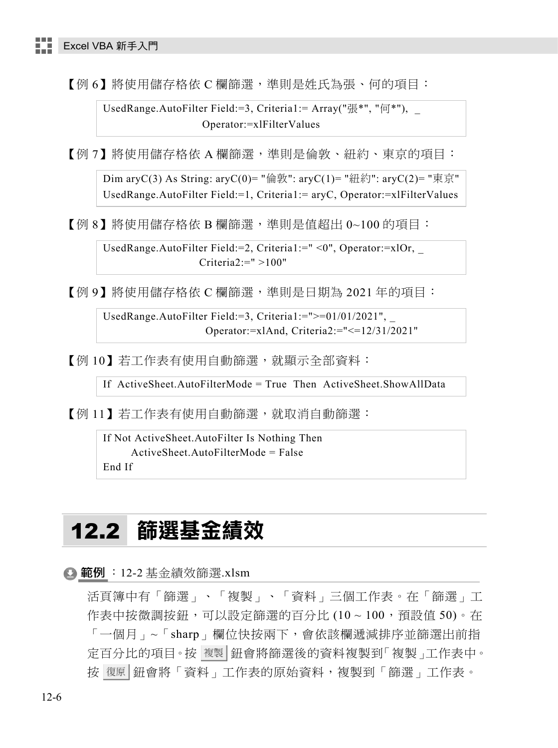【例 6】將使用儲存格依 C 欄篩選,進則是姓氏為張、何的項目:

UsedRange.AutoFilter Field:=3, Criteria1:= Array("張\*", "何\*"), Operator:=xlFilterValues

【例 7】 將使用儲存格依 A 欄篩選, 進則是倫敦、紐約、東京的項目:

Dim aryC(3) As String: aryC(0)= "倫敦": aryC(1)= "紐約": aryC(2)= "東京" UsedRange.AutoFilter Field:=1, Criteria1:= aryC, Operator:=xlFilterValues

【例 8】將使用儲存格依 B 欄篩選,準則是值超出 0~100 的項目:

UsedRange.AutoFilter Field:=2, Criteria1:=" <0", Operator:=xlOr, \_ Criteria $2 = " > 100"$ 

【例 9】將使用儲存格依 C 欄篩選,進則是日期為 2021 年的項目:

UsedRange.AutoFilter Field:=3, Criteria1:=">=01/01/2021", \_ Operator:=xlAnd, Criteria2:="<=12/31/2021"

【例 10】若工作表有使用自動篩選,就顯示全部資料:

If ActiveSheet.AutoFilterMode = True Then ActiveSheet.ShowAllData

【例 11】若工作表有使用自動篩選,就取消自動篩選:

If Not ActiveSheet.AutoFilter Is Nothing Then ActiveSheet.AutoFilterMode = False End If

## 12.2 篩選基金績效

**4 範例**: 12-2 基金績效篩選.xlsm

活頁簿中有「篩選」、「複製」、「資料」三個工作表。在「篩選」工 作表中按微調按鈕,可以設定篩選的百分比 (10~100,預設值 50)。在 「一個月」~「sharp」欄位快按兩下,會依該欄遞減排序並篩選出前指 定百分比的項目。按 複製 鈕會將篩選後的資料複製到「複製」工作表中。 按 復原 鈕會將「資料」工作表的原始資料,複製到「篩選」工作表。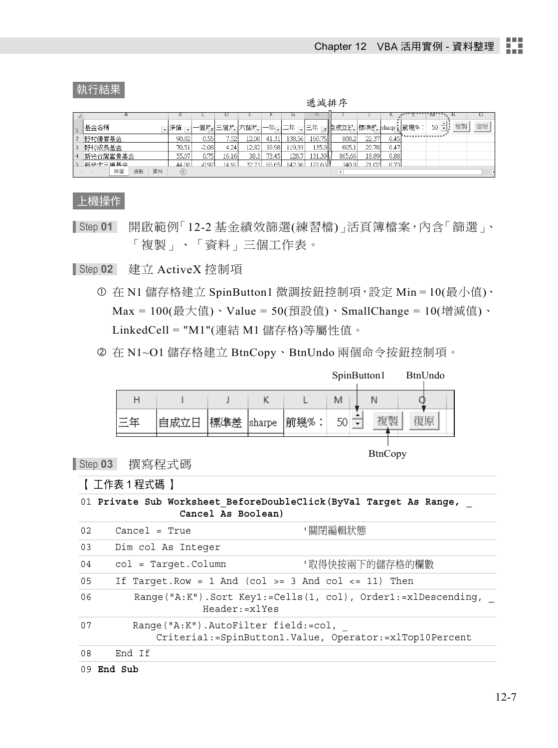#### 執行結果

遞減排序

|                |          |         |               |       |       |         |         |        |            |      |               | <b>IVI</b>                       |    |
|----------------|----------|---------|---------------|-------|-------|---------|---------|--------|------------|------|---------------|----------------------------------|----|
| 基金名稱           |          |         | └─個別┓三個別」六個別。 |       | 一年    | 十二年     | 『三年』    | ▼旧成立氏  | ┤標準扩。      |      | ←sharp → 前幾%: | $\blacktriangle$<br>複製<br>$50 -$ | 復原 |
| 野村優質基金         | 90.82    | 0.55    | 7.52          | 12.08 | 41.31 | 138.56  | 160.75  | 808.2  | 22.37      | 0.45 |               |                                  |    |
| 野村成長基金         | 70.51    | $-2.08$ | 4.24          | 12.82 | 39.98 | 119.93  | 135.911 | 605.1  | 20.781     | 0.47 |               |                                  |    |
| 新光台灣富貴基金       | 55.07    | 0.75    | 16.16         | 38.3  | 73.45 | 128.71  | 131.39  | 865.66 | 18.89      | 0.88 |               |                                  |    |
| 新来大三漫其全        | 44.08    | n a2    | I 4 9 1       | 32.73 |       | 142.061 | 12263   | 340.8  | $^{\circ}$ | 0.73 |               |                                  |    |
| 資料<br>複製<br>篩選 | $^{(+)}$ |         |               |       |       |         |         |        |            |      |               |                                  |    |

上機操作

Step **01** 開啟範例「12-2 基金績效篩選(練習檔)」活頁簿檔案,內含「篩選」、 「複製」、「資料」三個工作表。

Step **02** 建立 ActiveX 控制項

- 在 N1 儲存格建立 SpinButton1 微調按鈕控制項,設定 Min = 10(最小值)、  $Max = 100$ (最大值)、Value = 50(預設值)、SmallChange = 10(增減值)、 LinkedCell = "M1"(連結 M1 儲存格)等屬性值。
- 在 N1~O1 儲存格建立 BtnCopy、BtnUndo 兩個命令按鈕控制項。

|  |            |      |   | SpinButton1 | BtnUndo |
|--|------------|------|---|-------------|---------|
|  |            |      | M |             |         |
|  | 標準差 sharpe | 前幾%. |   |             |         |
|  |            |      |   |             |         |

BtnCopy

Step **03** 撰寫程式碼

【 工作表 1 程式碼 】

|  |  | 01 Private Sub Worksheet BeforeDoubleClick (ByVal Target As Range, |  |  |
|--|--|--------------------------------------------------------------------|--|--|
|  |  | Cancel As Boolean)                                                 |  |  |

|    | 09 End Sub                          |                                                                                   |
|----|-------------------------------------|-----------------------------------------------------------------------------------|
| 08 | End If                              |                                                                                   |
| 07 | Range("A:K").AutoFilter field:=col, | Criteria1:=SpinButton1.Value, Operator:=xlTop10Percent                            |
| 06 |                                     | Range("A:K").Sort Key1:=Cells(1, col), Order1:=xlDescending,<br>$Header: = x1Yes$ |
| 05 |                                     | If Target. Row = 1 And (col >= 3 And col <= 11) Then                              |
| 04 | $col = Target.Column$               | '取得快按兩下的儲存格的欄數                                                                    |
| 03 | Dim col As Integer                  |                                                                                   |
| 02 | $Cancel = True$                     | '關閉編輯狀態                                                                           |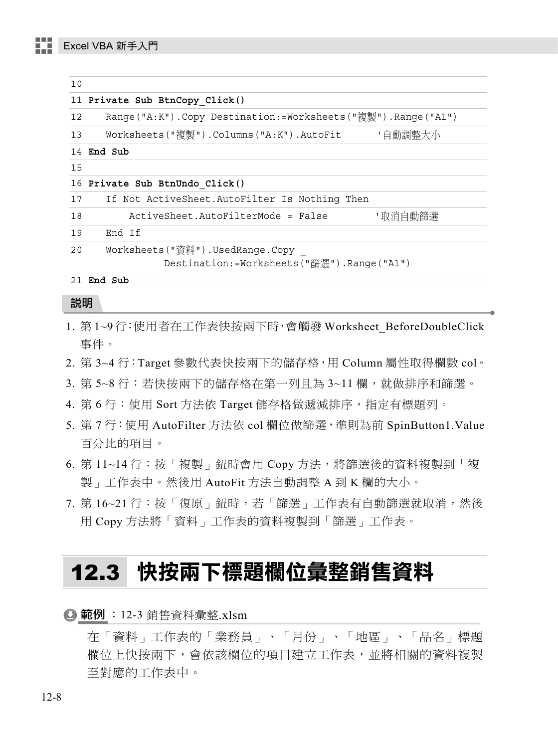| 10 |                                                             |
|----|-------------------------------------------------------------|
|    | 11 Private Sub BtnCopy Click()                              |
| 12 | Range("A:K").Copy Destination:=Worksheets("複製").Range("A1") |
| 13 | 「自動調整大小<br>Worksheets("複製").Columns("A:K").AutoFit          |
|    | 14 End Sub                                                  |
| 15 |                                                             |
|    | 16 Private Sub BtnUndo Click()                              |
| 17 | If Not ActiveSheet.AutoFilter Is Nothing Then               |
| 18 | ActiveSheet.AutoFilterMode = False<br>'取消自動篩選               |
| 19 | End If                                                      |
| 20 | Worksheets("資料").UsedRange.Copy                             |
|    | Destination:=Worksheets("篩選").Range("A1")                   |
|    | 21 End Sub                                                  |

- 1. 第 1~9 行: 使用者在工作表快按兩下時,會觸發 Worksheet BeforeDoubleClick 事件。
- 2. 第 3~4 行:Target 參數代表快按兩下的儲存格,用 Column 屬性取得欄數 col。
- 3. 第 5~8 行:若快按兩下的儲存格在第一列且為 3~11 欄,就做排序和篩選。
- 4. 第 6 行:使用 Sort 方法依 Target 儲存格做遞減排序,指定有標題列。
- 5. 第 7 行:使用 AutoFilter 方法依 col 欄位做篩選,準則為前 SpinButton1.Value 百分比的項目。
- 6. 第 11~14 行:按「複製」鈕時會用 Copy 方法,將篩選後的資料複製到「複 製」工作表中。然後用 AutoFit 方法自動調整 A 到 K 欄的大小。
- 7. 第 16~21 行: 按「復原」鈕時,若「篩選」工作表有自動篩選就取消,然後 用 Copy 方法將「資料」工作表的資料複製到「篩選」工作表。

## 12.3 快按兩下標題欄位彙整銷售資料

 $\bigodot$  範例 : 12-3 銷售資料彙整.xlsm

在「資料」工作表的「業務員」、「月份」、「地區」、「品名」標題 欄位上快按兩下,會依該欄位的項目建立工作表,並將相關的資料複製 至對應的工作表中。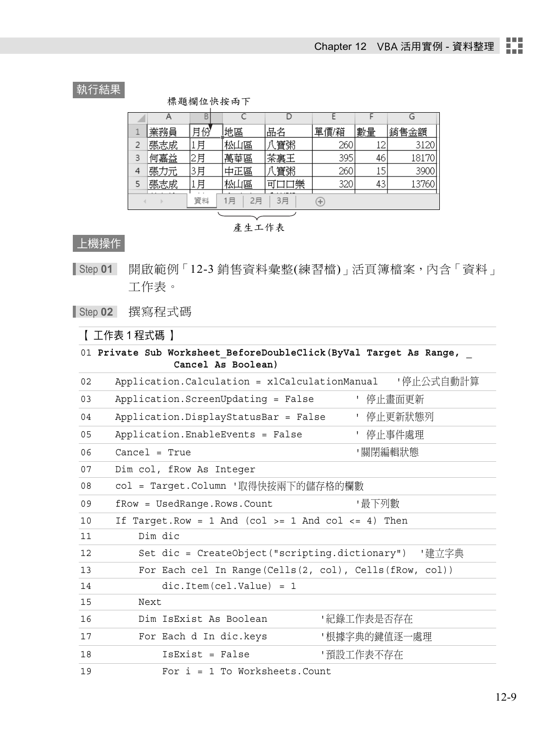### 執行結果

標題欄位快按兩下

|   |     |    |          |         |      |    | G     |  |
|---|-----|----|----------|---------|------|----|-------|--|
|   | 業務員 | 月份 | 地區       | 品名      | 單價/箱 | 數量 | 銷售金額  |  |
|   | 張志成 | 月  | 松山區      | 八寶粥     | 260  |    | 3120  |  |
|   | 何嘉益 | 2月 | 萬華區      | 茶裏王     | 395  | 46 | 18170 |  |
| 4 | 張力元 | 3月 | 中正區      | 八寶粥     | 260  |    | 3900  |  |
|   | 張志成 | 月  | 松山區      | 口樂<br>비 | 320  | 43 | 13760 |  |
|   |     | 資料 | 2月<br>1月 | 3月      | ÷    |    |       |  |

產生工作表

### 上機操作

Step **01** 開啟範例「12-3 銷售資料彙整(練習檔)」活頁簿檔案,內含「資料」 工作表。

Step **02** 撰寫程式碼

【 工作表 1 程式碼 】

|    | 01 Private Sub Worksheet BeforeDoubleClick (ByVal Target As Range,<br>Cancel As Boolean) |
|----|------------------------------------------------------------------------------------------|
| 02 | Application.Calculation = xlCalculationManual 「停止公式自動計算                                  |
| 03 | Application.ScreenUpdating = False     ' 停止畫面更新                                          |
| 04 | Application.DisplayStatusBar = False<br>′ 停止更新狀態列                                        |
| 05 | ' 停止事件處理<br>Application.EnableEvents = False                                             |
| 06 | '關閉編輯狀態<br>$Cancel = True$                                                               |
| 07 | Dim col, frow As Integer                                                                 |
| 08 | col = Target.Column '取得快按兩下的儲存格的欄數                                                       |
| 09 | fRow = UsedRange.Rows.Count<br>'最下列數                                                     |
| 10 | If Target. Row = 1 And (col >= 1 And col <= 4) Then                                      |
| 11 | Dim dic                                                                                  |
| 12 | Set dic = CreateObject("scripting.dictionary") 「建立字典                                     |
| 13 | For Each cel In Range (Cells (2, col), Cells (fRow, col))                                |
| 14 | $dic.Item(cel.Value) = 1$                                                                |
| 15 | Next                                                                                     |
| 16 | Dim IsExist As Boolean<br>' 紀錄工作表是否存在                                                    |
| 17 | ' 根據字典的鍵值逐一處理<br>For Each d In dic.keys                                                  |
| 18 | '預設工作表不存在<br>$IsExist = False$                                                           |
| 19 | For $i = 1$ To Worksheets. Count                                                         |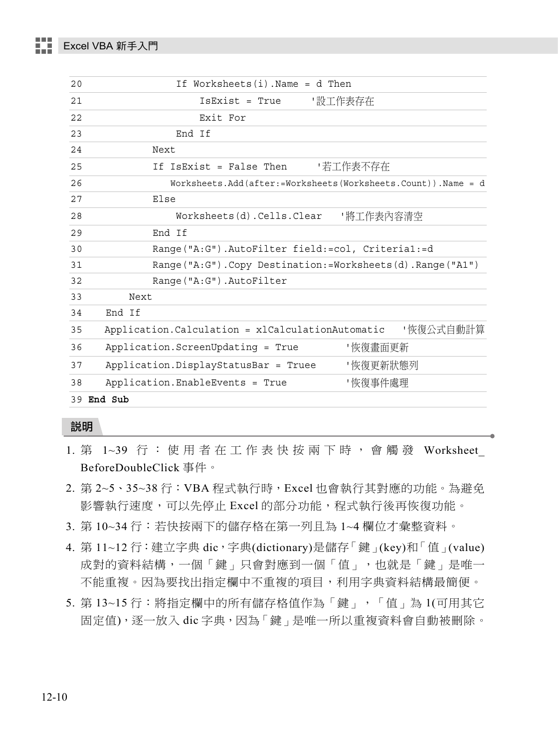| 20 | If Worksheets $(i)$ . Name = d Then                                |
|----|--------------------------------------------------------------------|
| 21 | IsExist = True<br>- 設工作表存在                                         |
| 22 | Exit For                                                           |
| 23 | End If                                                             |
| 24 | Next                                                               |
| 25 | If IsExist = False Then<br>- 若工作表不存在                               |
| 26 | Worksheets. Add (after: =Worksheets (Worksheets. Count)). Name = d |
| 27 | Else                                                               |
| 28 |                                                                    |
| 29 | End If                                                             |
| 30 | Range("A:G").AutoFilter field:=col, Criteria1:=d                   |
| 31 | Range("A:G").Copy Destination:=Worksheets(d).Range("A1")           |
| 32 | Range ("A:G") . AutoFilter                                         |
| 33 | Next                                                               |
| 34 | End If                                                             |
| 35 | Application. Calculation = xlCalculationAutomatic<br>'恢復公式自動計算     |
| 36 | Application. ScreenUpdating = True<br>'恢復畫面更新                      |
| 37 | Application.DisplayStatusBar = Truee<br>'恢復更新狀態列                   |
| 38 | '恢復事件處理<br>Application.EnableEvents = True                         |
|    | 39 End Sub                                                         |

- 1. 第 1~39 行: 使用者在工作表快按兩下時, 會觸發 Worksheet BeforeDoubleClick 事件。
- 2. 第 2~5、35~38 行:VBA 程式執行時,Excel 也會執行其對應的功能。為避免 影響執行速度,可以先停止 Excel 的部分功能,程式執行後再恢復功能。
- 3. 第 10~34 行:若快按兩下的儲存格在第一列且為 1~4 欄位才彙整資料。
- 4. 第 11~12 行:建立字典 dic,字典(dictionary)是儲存「鍵」(key)和「值」(value) 成對的資料結構,一個「鍵」只會對應到一個「值」,也就是「鍵」是唯一 不能重複。因為要找出指定欄中不重複的項目,利用字典資料結構最簡便。
- 5. 第 13~15 行:將指定欄中的所有儲存格值作為「鍵」,「值」為 1(可用其它 固定值),逐一放入 dic 字典,因為「鍵」是唯一所以重複資料會自動被刪除。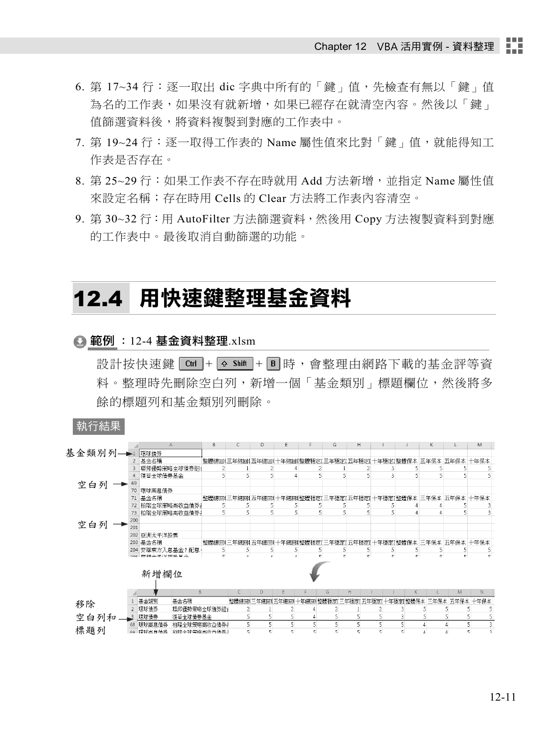- 6. 第 17~34 行:逐一取出 dic 字典中所有的「鍵」值,先檢查有無以「鍵」值 為名的工作表,如果沒有就新增,如果已經存在就清空內容。然後以「鍵」 值篩選資料後,將資料複製到對應的工作表中。
- 7. 第 19~24 行:逐一取得工作表的 Name 屬性值來比對「鍵」值,就能得知工 作表是否存在。
- 8. 第 25~29 行:如果工作表不存在時就用 Add 方法新增,並指定 Name 屬性值 來設定名稱;存在時用 Cells 的 Clear 方法將工作表內容清空。
- 9. 第 30~32 行:用 AutoFilter 方法篩選資料,然後用 Copy 方法複製資料到對應 的工作表中。最後取消自動篩選的功能。

## 12.4 用快速鍵整理基金資料

#### **△** 範例 :12-4 基金資料整理.xlsm

設計按快速鍵 Ctrl + 6 shift + B 時, 會整理中網路下載的基金評等資 料。整理時先刪除空白列,新增一個「基金類別」標題欄位,然後將多 餘的標題列和基金類別列刪除。

執行結果

|       |                | $\mathsf{A}$          |              | В                       | С            | D               | Ε |                               | G          | н          |    |                                                        | K          |                         | M                 |  |
|-------|----------------|-----------------------|--------------|-------------------------|--------------|-----------------|---|-------------------------------|------------|------------|----|--------------------------------------------------------|------------|-------------------------|-------------------|--|
| 基金類別列 |                | 環球債券                  |              |                         |              |                 |   |                               |            |            |    |                                                        |            |                         |                   |  |
|       | $\overline{a}$ | 基金名稱                  |              |                         |              |                 |   |                               |            |            |    | 整體總回《三年總回《五年總回《十年總回《整體穩定》三年穩定》五年穩定1十年穩定【整體保本 三年保本 五年保本 |            |                         | 十年保本              |  |
|       |                | 聯邦優勢策略全球債券組1          |              | 2                       |              |                 |   |                               |            |            |    |                                                        |            |                         |                   |  |
|       |                | 復華全球債券基金              |              | 5                       |              | 5               | 4 | 5                             | 5          | 5          |    | ς                                                      |            |                         | 5                 |  |
| 空白列   | 69             |                       |              |                         |              |                 |   |                               |            |            |    |                                                        |            |                         |                   |  |
|       | 70             | 環球高息債券                |              |                         |              |                 |   |                               |            |            |    |                                                        |            |                         |                   |  |
|       | 71             | 基金名稱                  |              |                         |              | 整體總回《三年總回《五年總回》 |   | 十年總回《整體穩定』三年穩定』五年穩定 十年穩定 整體保本 |            |            |    |                                                        | 三年保本       | 五年保本                    | 十年保本              |  |
|       | 72             | 柏瑞全球策略高收益债券。          |              | 5                       |              |                 |   | 5                             |            |            |    |                                                        |            |                         |                   |  |
|       | 73             | 柏瑞全球策略高收益債券           |              | 5                       |              | 5               | 5 | 5                             | 5          | 5          |    |                                                        |            | 5                       |                   |  |
|       | 200            |                       |              |                         |              |                 |   |                               |            |            |    |                                                        |            |                         |                   |  |
| 空白列   | 201            |                       |              |                         |              |                 |   |                               |            |            |    |                                                        |            |                         |                   |  |
|       |                | 202 亜洲太平洋股票           |              |                         |              |                 |   |                               |            |            |    |                                                        |            |                         |                   |  |
|       |                | 203 基金名稱              |              | 整體總同三年總同                |              | 五年總同            |   | -年練同:整體穩定                     | 三年穩定       | 五年穏定       |    | 十年穏定! 整體保本                                             | 三年保本       | 五年保本                    | 十年保本              |  |
|       |                | 204 安聯東方入息基金 P 配息     |              | 5                       |              | 5               | 5 | 5                             | 5          | 5          | 5  |                                                        | 5          | 5                       | 5                 |  |
|       |                | OOF   高社団十一で (光神系) せん |              | $\overline{\mathbf{C}}$ |              |                 | x | c.                            | $\epsilon$ | $\epsilon$ | c. | c.                                                     | $\epsilon$ | $\overline{\mathbf{K}}$ |                   |  |
|       |                | 新增欄位                  |              |                         |              |                 |   |                               |            |            |    |                                                        |            |                         |                   |  |
|       |                |                       | B            |                         | $\mathsf{C}$ | D               | F |                               | G          | H          |    | K.                                                     |            | M                       | N                 |  |
| 移除    |                | 基金類別                  | 基金名稱         |                         |              |                 |   | 整體總回《三年總回《五年總回《十年總回《整體穩定》     |            | 三年穩定「五年穩定」 |    | 十年穏定[整體保本                                              | 三年保本       | 五年保本                    | 十年保本              |  |
|       | $\overline{2}$ | 環球債券                  | 聯邦優勢策略全球債券組1 |                         |              |                 |   |                               |            |            |    |                                                        |            |                         |                   |  |
| 空白列和  | $\mathbf{r}$   | 環球債券                  | 復華全球債券基金     |                         |              |                 | 5 |                               |            |            |    | 3                                                      | 5          | 5                       | 5<br>5            |  |
|       | 68             | 環球高息債券                | 柏瑞全球策略高收益借券。 |                         | 5.           | 5               | 5 |                               |            | 5          |    | 5                                                      | $\ddot{4}$ |                         | 5<br>3            |  |
| 標題列   | 69             | 提拔高自体类                | 柏磁全球策略高收米债券1 |                         | ς            | ς               | ς | E,                            | ς          | ς          |    | 5                                                      | Å          | Λ                       | 5<br>$\mathbf{R}$ |  |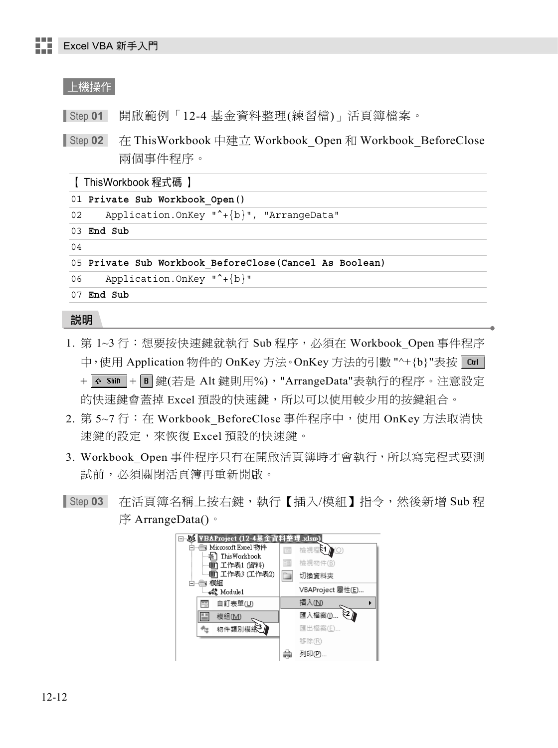### 上機操作

Step **01** 開啟範例「12-4 基金資料整理(練習檔)」活頁簿檔案。

Step **02** 在 ThisWorkbook 中建立 Workbook\_Open 和 Workbook\_BeforeClose 兩個事件程序。

【 ThisWorkbook 程式碼 】

01 **Private Sub Workbook\_Open()**

02 Application.OnKey "^+{b}", "ArrangeData"

03 **End Sub**

04

```
05 Private Sub Workbook_BeforeClose(Cancel As Boolean)
```
06 Application.OnKey "^+{b}"

07 **End Sub**

- 1. 第 1~3 行:想要按快速鍵就執行 Sub 程序,必須在 Workbook Open 事件程序 中,使用 Application 物件的 OnKey 方法。OnKey 方法的引數 "^+{b}"表按 Ctrl +  $\overline{Q}$  Shift +  $\overline{B}$  鍵(若是 Alt 鍵則用%), "ArrangeData"表執行的程序。注意設定 的快速鍵會蓋掉 Excel 預設的快速鍵, 所以可以使用較少用的按鍵組合。
- 2. 第 5~7 行:在 Workbook BeforeClose 事件程序中,使用 OnKey 方法取消快 速鍵的設定,來恢復 Excel 預設的快速鍵。
- 3. Workbook Open 事件程序只有在開啟活頁簿時才會執行,所以寫完程式要測 試前,必須關閉活頁簿再重新開啟。
- Step **03** 在活頁簿名稱上按右鍵,執行【插入/模組】指令,然後新增 Sub 程 序 ArrangeData()。

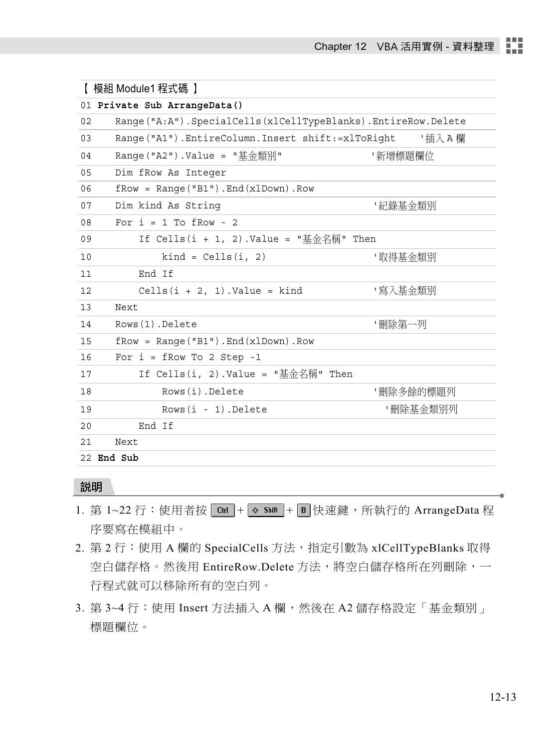|    | 【 模組 Module1 程式碼 】                                           |           |
|----|--------------------------------------------------------------|-----------|
|    | 01 Private Sub ArrangeData()                                 |           |
| 02 | Range("A:A").SpecialCells(xlCellTypeBlanks).EntireRow.Delete |           |
| 03 | Range("A1").EntireColumn.Insert shift:=xlToRight             | '插入 A 欄   |
| 04 | Range("A2").Value = "基金類別"                                   | '新增標題欄位   |
| 05 | Dim fRow As Integer                                          |           |
| 06 | $fRow = Range('B1") . End(x1Down) . Row$                     |           |
| 07 | Dim kind As String                                           | '紀錄基金類別   |
| 08 | For $i = 1$ To fRow - 2                                      |           |
| 09 | If Cells(i + 1, 2).Value = "基金名稱" Then                       |           |
| 10 | $\text{kind} = \text{Cells}(\text{i}, 2)$                    | '取得基金類別   |
| 11 | End If                                                       |           |
| 12 | Cells $(i + 2, 1)$ . Value = kind                            | "寫入基金類別   |
| 13 | Next                                                         |           |
| 14 | Rows (1). Delete                                             | '刪除第一列    |
| 15 | $fRow = Range('B1") . End(x1Down) . Row$                     |           |
| 16 | For $i = fRow TO 2 Step -1$                                  |           |
| 17 | If Cells(i, 2).Value = "基金名稱" Then                           |           |
| 18 | Rows(i).Delete                                               | '刪除多餘的標題列 |
| 19 | Rows(i - 1). Delete                                          | '刪除基金類別列  |
| 20 | End If                                                       |           |
| 21 | Next                                                         |           |
|    | 22 End Sub                                                   |           |

- 1. 第 1~22 行: 使用者按  $\boxed{\text{Ctr}}$  +  $\boxed{\text{A shift}}$  +  $\boxed{\text{B}}$  快速鍵, 所執行的 ArrangeData 程 序要寫在模組中。
- 2. 第 2 行: 使用 A 欄的 SpecialCells 方法, 指定引數為 xlCellTypeBlanks 取得 空白儲存格。然後用 EntireRow.Delete 方法,將空白儲存格所在列刪除,一 行程式就可以移除所有的空白列。
- 3. 第 3~4 行: 使用 Insert 方法插入 A 欄, 然後在 A2 儲存格設定「基金類別」 標題欄位。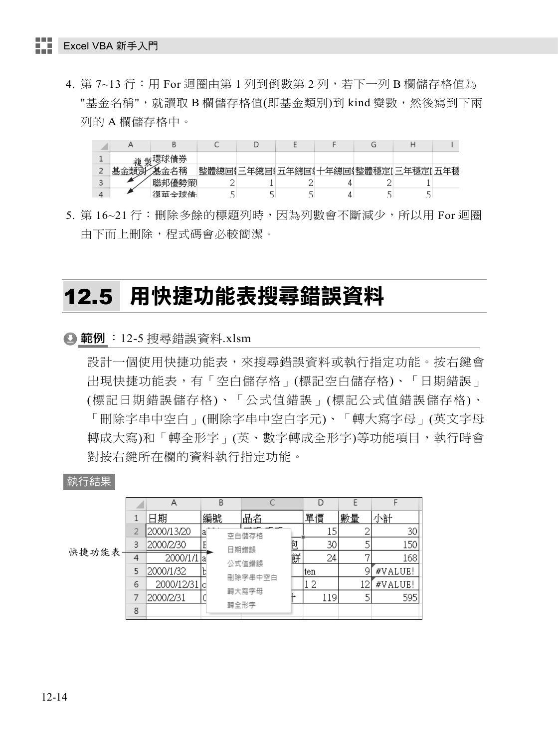4. 第 7~13 行: 用 For 迴圈中第 1 列到倒數第 2 列, 若下一列 B 欄儲存格值為 "基金名稱",就讀取 B 欄儲存格值(即基金類別)到 kind 變數,然後寫到下兩 列的 A 欄儲存格中。



5. 第 16~21 行:刪除多餘的標題列時,因為列數會不斷減少,所以用 For 迴圈 由下而上刪除,程式碼會必較簡潔。

## 12.5 用快捷功能表搜尋錯誤資料

**△範例** :12-5 搜尋錯誤資料.xlsm

設計一個使用快捷功能表,來搜尋錯誤資料或執行指定功能。按右鍵會 出現快捷功能表,有「空白儲存格」(標記空白儲存格)、「日期錯誤」 (標記日期錯誤儲存格)、「公式值錯誤」(標記公式值錯誤儲存格)、 「刪除字串中空白」(刪除字串中空白字元)、「轉大寫字母」(英文字母 轉成大寫)和「轉全形字」(英、數字轉成全形字)等功能項目,執行時會 對按右鍵所在欄的資料執行指定功能。

#### 執行結果

|        |   | Α          | B  |         |       |   |      |    |         |
|--------|---|------------|----|---------|-------|---|------|----|---------|
|        |   | 日期         | 編號 |         | 品名    |   | 單價   | 數量 | 小計      |
|        |   | 2000/13/20 | la |         | 空白儲存格 |   | 15   |    | 30      |
|        | 3 | 2000/2/30  |    |         | 日期錯誤  | 包 | 30   |    | 150     |
| 快捷功能表- | 4 | 2000/1/1   | a  |         | 公式值錯誤 | 餅 | 24   | ∍  | 168     |
|        | 5 | 2000/1/32  |    |         |       |   | lten |    | #VALUE! |
|        | 6 | 2000/12/31 | ТC | 刪除字串中空白 |       |   | 2    |    | #VALUE! |
|        |   | 2000/2/31  |    |         | 轉大寫字母 |   | 119  |    | 595     |
|        | 8 |            |    |         | 轉全形字  |   |      |    |         |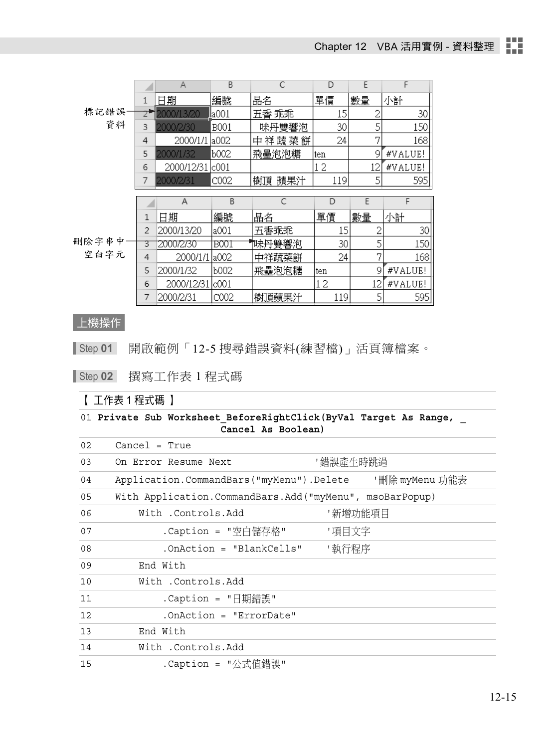|       |                | A          | B             | С         | D   | Ε  | F       |
|-------|----------------|------------|---------------|-----------|-----|----|---------|
|       | 1              | 日期         | 編號            | 品名        | 單價  | 數量 | 小計      |
| 標記錯誤  |                | 2000/13/20 | <u>l</u> a001 | 五香 乖乖     | 15  | 2  | 30      |
| 資料    | 3              | 2000/2/30  | B001          | 味丹雙響泡     | 30  | 5  | 150     |
|       | 4              | 2000/1/1   | la002         | 中祥蔬菜餅     | 24  | 7  | 168     |
|       | 5              | 2000/1/32  | Ь002          | 飛壘泡泡糖     | ten | 9  | #VALUE! |
|       | 6              | 2000/12/31 | c001          |           | 12  | 12 | #VALUE! |
|       |                | 2000/2/31  | C002          | 樹頂<br>蘋果汁 | 119 | 5  | 595     |
|       |                |            |               |           |     |    |         |
|       |                |            |               |           |     |    |         |
|       |                | Α          | B             | C         | D   | E  | F       |
|       | 1              | 日期         | 編號            | 品名        | 單價  | 數量 | 小計      |
|       | $\overline{2}$ | 2000/13/20 | la001         | 五香乖乖      | 15  |    | 30      |
| 删除字串中 | З              | 2000/2/30  | B001          | 帙丹雙響泡     | 30  | 5  | 150     |
| 空白字元  | 4              | 2000/1/1   | la002.        | 中祥蔬菜餅     | 24  | 7  | 168     |
|       | 5              | 2000/1/32  | Ь002          | 飛壘泡泡糖     | ten | g  | #VALUE! |
|       | 6              | 2000/12/31 | lc001         |           | 12  | 12 | #VALUE! |

### 上機操作

Step **01** 開啟範例「12-5 搜尋錯誤資料(練習檔)」活頁簿檔案。

Step **02** 撰寫工作表 1 程式碼

### 【 工作表 1 程式碼 】

01 **Private Sub Worksheet\_BeforeRightClick(ByVal Target As Range, \_ Cancel As Boolean)**

| 02 | $Cancel = True$                                         |  |
|----|---------------------------------------------------------|--|
| 03 | '錯誤產生時跳過<br>On Error Resume Next                        |  |
| 04 |                                                         |  |
| 05 | With Application.CommandBars.Add("myMenu", msoBarPopup) |  |
| 06 | With .Controls.Add<br>'新增功能項目                           |  |
| 07 | .Caption = "空白儲存格"<br>"項目文字                             |  |
| 08 | '執行程序<br>$. OnAction = "BlankCells"$                    |  |
| 09 | End With                                                |  |
| 10 | With .Controls.Add                                      |  |
| 11 | .Caption = "日期錯誤"                                       |  |
| 12 | .OnAction = "ErrorDate"                                 |  |
| 13 | End With                                                |  |
| 14 | With .Controls.Add                                      |  |
| 15 | .Caption = "公式值錯誤"                                      |  |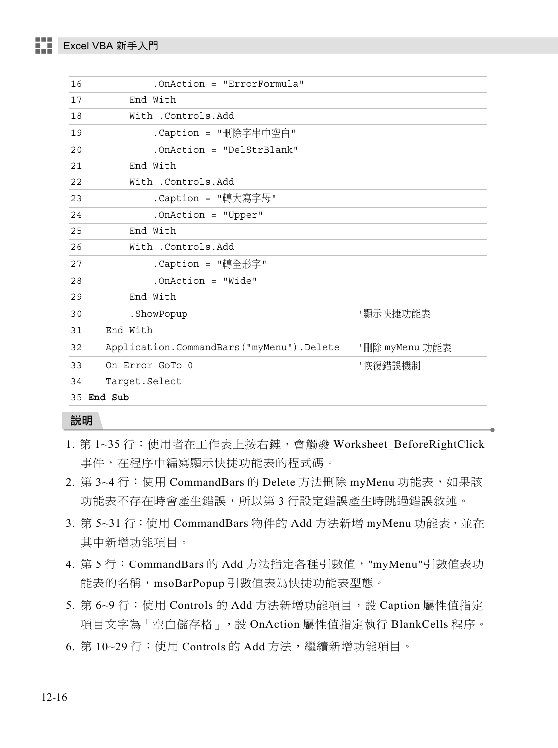| 16            | .OnAction = "ErrorFormula"               |                |  |  |
|---------------|------------------------------------------|----------------|--|--|
| 17            | End With                                 |                |  |  |
| 18            | With .Controls.Add                       |                |  |  |
| 19            | .Caption = "刪除字串中空白"                     |                |  |  |
| 20            | .OnAction = "DelStrBlank"                |                |  |  |
| 21            | End With                                 |                |  |  |
| 22            | With .Controls.Add                       |                |  |  |
| 23            | .Caption = "轉大寫字母"                       |                |  |  |
| 24            | .OnAction = "Upper"                      |                |  |  |
| 25            | End With                                 |                |  |  |
| 26            | With .Controls.Add                       |                |  |  |
| 27            | .Caption = "轉全形字"                        |                |  |  |
| 28            | . On Action = $"Wide"$                   |                |  |  |
| 29            | End With                                 |                |  |  |
| 30            | .ShowPopup                               | '顯示快捷功能表       |  |  |
| 31            | End With                                 |                |  |  |
| 32            | Application.CommandBars("myMenu").Delete | '刪除 myMenu 功能表 |  |  |
| 33            | On Error GoTo 0                          | '恢復錯誤機制        |  |  |
| 34            | Target.Select                            |                |  |  |
| End Sub<br>35 |                                          |                |  |  |
|               |                                          |                |  |  |

- 1. 第 1~35 行: 使用者在工作表上按右鍵,會觸發 Worksheet BeforeRightClick 事件,在程序中編寫顯示快捷功能表的程式碼。
- 2. 第 3~4 行:使用 CommandBars 的 Delete 方法刪除 myMenu 功能表,如果該 功能表不存在時會產生錯誤,所以第3行設定錯誤產生時跳過錯誤敘述。
- 3. 第 5~31 行: 使用 CommandBars 物件的 Add 方法新增 myMenu 功能表, 並在 其中新增功能項目。
- 4. 第 5 行:CommandBars 的 Add 方法指定各種引數值,"myMenu"引數值表功 能表的名稱,msoBarPopup 引數值表為快捷功能表型態。
- 5. 第 6~9 行: 使用 Controls 的 Add 方法新增功能項目,設 Caption 屬性值指定 項目文字為「空白儲存格」,設 OnAction 屬性值指定執行 BlankCells 程序。
- 6. 第10~29行: 使用 Controls 的 Add 方法,繼續新增功能項目。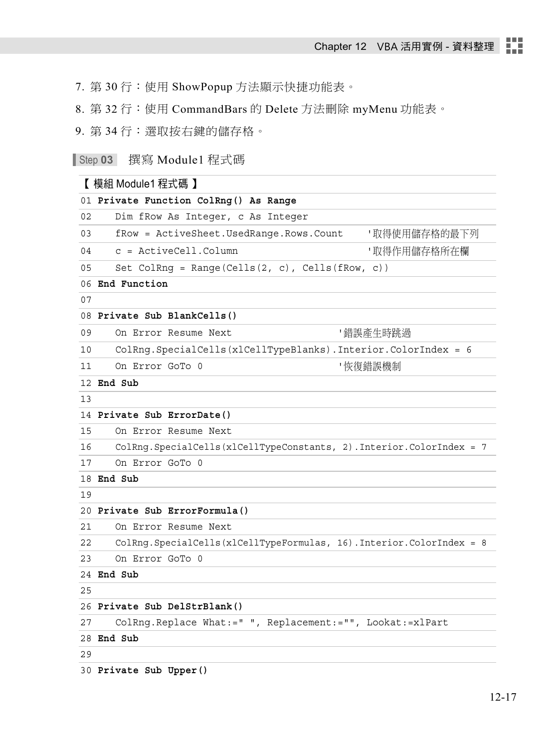7. 第 30 行:使用 ShowPopup 方法顯示快捷功能表。

8. 第 32 行:使用 CommandBars 的 Delete 方法刪除 myMenu 功能表。

9. 第 34 行:選取按右鍵的儲存格。

Step **03** 撰寫 Module1 程式碼

## 【 模組 Module1 程式碼 】

|    | 01 Private Function ColRng() As Range                                   |  |  |
|----|-------------------------------------------------------------------------|--|--|
| 02 | Dim fRow As Integer, c As Integer                                       |  |  |
| 03 | fRow = ActiveSheet.UsedRange.Rows.Count<br>'取得使用儲存格的最下列                 |  |  |
| 04 | $c =$ ActiveCell.Column<br>'取得作用儲存格所在欄                                  |  |  |
| 05 | Set ColRng = Range(Cells $(2, c)$ , Cells $(fRow, c)$ )                 |  |  |
|    | 06 End Function                                                         |  |  |
| 07 |                                                                         |  |  |
|    | 08 Private Sub BlankCells()                                             |  |  |
| 09 | On Error Resume Next<br>- 錯誤產牛時跳過                                       |  |  |
| 10 | ColRng.SpecialCells(xlCellTypeBlanks).Interior.ColorIndex = 6           |  |  |
| 11 | '恢復錯誤機制<br>On Error GoTo 0                                              |  |  |
|    | 12 End Sub                                                              |  |  |
| 13 |                                                                         |  |  |
|    | 14 Private Sub ErrorDate()                                              |  |  |
| 15 | On Error Resume Next                                                    |  |  |
| 16 | ColRng. SpecialCells (xlCellTypeConstants, 2). Interior. ColorIndex = 7 |  |  |
| 17 | On Error GoTo 0                                                         |  |  |
|    | 18 End Sub                                                              |  |  |
| 19 |                                                                         |  |  |
|    | 20 Private Sub ErrorFormula()                                           |  |  |
| 21 | On Error Resume Next                                                    |  |  |
| 22 | ColRng. SpecialCells (x1CellTypeFormulas, 16). Interior. ColorIndex = 8 |  |  |
| 23 | On Error GoTo 0                                                         |  |  |
|    | 24 End Sub                                                              |  |  |
| 25 |                                                                         |  |  |
|    | 26 Private Sub DelStrBlank()                                            |  |  |
| 27 | ColRng. Replace What:=" ", Replacement:="", Lookat:=xlPart              |  |  |
|    | 28 End Sub                                                              |  |  |

29

30 **Private Sub Upper()**